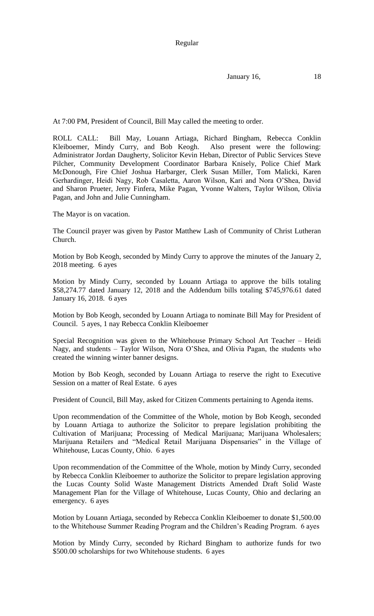Regular

January 16, 18

At 7:00 PM, President of Council, Bill May called the meeting to order.

ROLL CALL: Bill May, Louann Artiaga, Richard Bingham, Rebecca Conklin Kleiboemer, Mindy Curry, and Bob Keogh. Also present were the following: Administrator Jordan Daugherty, Solicitor Kevin Heban, Director of Public Services Steve Pilcher, Community Development Coordinator Barbara Knisely, Police Chief Mark McDonough, Fire Chief Joshua Harbarger, Clerk Susan Miller, Tom Malicki, Karen Gerhardinger, Heidi Nagy, Rob Casaletta, Aaron Wilson, Kari and Nora O'Shea, David and Sharon Prueter, Jerry Finfera, Mike Pagan, Yvonne Walters, Taylor Wilson, Olivia Pagan, and John and Julie Cunningham.

The Mayor is on vacation.

The Council prayer was given by Pastor Matthew Lash of Community of Christ Lutheran Church.

Motion by Bob Keogh, seconded by Mindy Curry to approve the minutes of the January 2, 2018 meeting. 6 ayes

Motion by Mindy Curry, seconded by Louann Artiaga to approve the bills totaling \$58,274.77 dated January 12, 2018 and the Addendum bills totaling \$745,976.61 dated January 16, 2018. 6 ayes

Motion by Bob Keogh, seconded by Louann Artiaga to nominate Bill May for President of Council. 5 ayes, 1 nay Rebecca Conklin Kleiboemer

Special Recognition was given to the Whitehouse Primary School Art Teacher – Heidi Nagy, and students – Taylor Wilson, Nora O'Shea, and Olivia Pagan, the students who created the winning winter banner designs.

Motion by Bob Keogh, seconded by Louann Artiaga to reserve the right to Executive Session on a matter of Real Estate. 6 ayes

President of Council, Bill May, asked for Citizen Comments pertaining to Agenda items.

Upon recommendation of the Committee of the Whole, motion by Bob Keogh, seconded by Louann Artiaga to authorize the Solicitor to prepare legislation prohibiting the Cultivation of Marijuana; Processing of Medical Marijuana; Marijuana Wholesalers; Marijuana Retailers and "Medical Retail Marijuana Dispensaries" in the Village of Whitehouse, Lucas County, Ohio. 6 ayes

Upon recommendation of the Committee of the Whole, motion by Mindy Curry, seconded by Rebecca Conklin Kleiboemer to authorize the Solicitor to prepare legislation approving the Lucas County Solid Waste Management Districts Amended Draft Solid Waste Management Plan for the Village of Whitehouse, Lucas County, Ohio and declaring an emergency. 6 ayes

Motion by Louann Artiaga, seconded by Rebecca Conklin Kleiboemer to donate \$1,500.00 to the Whitehouse Summer Reading Program and the Children's Reading Program. 6 ayes

Motion by Mindy Curry, seconded by Richard Bingham to authorize funds for two \$500.00 scholarships for two Whitehouse students. 6 ayes